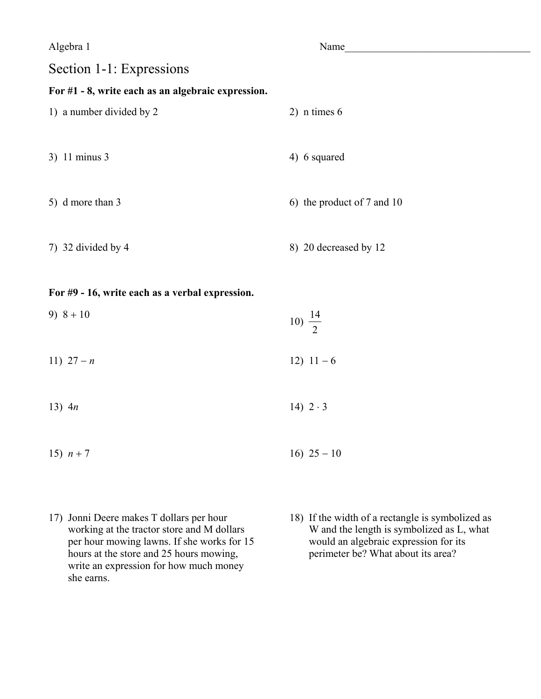$Name$   $\Box$ 

## Section 1-1: Expressions

#### **For #1 - 8, write each as an algebraic expression.**

- 1) a number divided by 2 2) n times 6  $3)$  11 minus 3 4) 6 squared 5) d more than 3 6) the product of 7 and 10
- 7) 32 divided by 4 8) 20 decreased by 12

#### **For #9 - 16, write each as a verbal expression.**

9)  $8 + 10$ 10)  $\frac{14}{2}$ 2 a set of  $\sim$  2 11)  $27 - n$  12)  $11 - 6$ 

- 13)  $4n$  14)  $2 \cdot 3$
- 15)  $n + 7$  16)  $25 10$
- 17) Jonni Deere makes T dollars per hour working at the tractor store and M dollars per hour mowing lawns. If she works for 15 hours at the store and 25 hours mowing, write an expression for how much money she earns.
- 18) If the width of a rectangle is symbolized as W and the length is symbolized as L, what would an algebraic expression for its perimeter be? What about its area?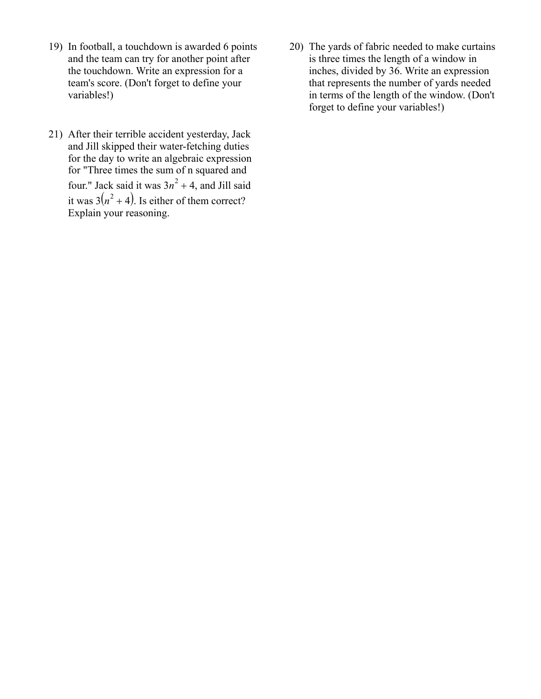- 19) In football, a touchdown is awarded 6 points and the team can try for another point after the touchdown. Write an expression for a team's score.(Don't forget to define your variables!)
- 21) After their terrible accident yesterday, Jack and Jill skipped their water-fetching duties for the day to write an algebraic expression for "Three times the sum of n squared and four." Jack said it was  $3n^2 + 4$ , and Jill said it was  $3(n^2+4)$ . Is either of them correct? Explain your reasoning.
- 20) The yards of fabric needed to make curtains is three times the length of a window in inches, divided by 36. Write an expression that represents the number of yards needed in terms of the length of the window. (Don't forget to define your variables!)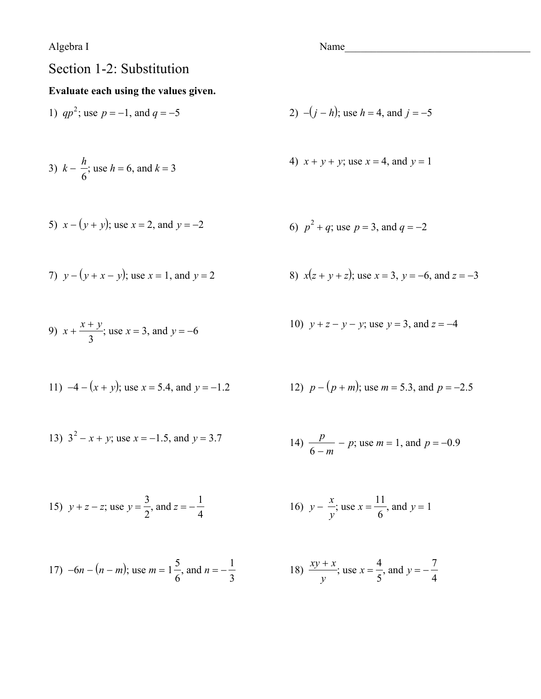Algebra I

# Section 1-2: Substitution

### Evaluate each using the values given.

1) 
$$
qp^2
$$
; use  $p = -1$ , and  $q = -5$   
2)  $-(j - h)$ ; use  $h = 4$ , and  $j = -3$ 

3) 
$$
k - \frac{h}{6}
$$
; use  $h = 6$ , and  $k = 3$ 

5) 
$$
x - (y + y)
$$
; use  $x = 2$ , and  $y = -2$ 

7) 
$$
y - (y + x - y)
$$
; use  $x = 1$ , and  $y = 2$ 

9) 
$$
x + \frac{x+y}{3}
$$
; use  $x = 3$ , and  $y = -6$ 

11) 
$$
-4 - (x + y)
$$
; use  $x = 5.4$ , and  $y = -1.2$ 

13)  $3^2 - x + y$ ; use  $x = -1.5$ , and  $y = 3.7$ 

2) 
$$
-(j - h)
$$
; use  $h = 4$ , and  $j = -5$ 

4) 
$$
x + y + y
$$
; use  $x = 4$ , and  $y = 1$ 

6) 
$$
p^2 + q
$$
; use  $p = 3$ , and  $q = -2$ 

8) 
$$
x(z + y + z)
$$
; use  $x = 3$ ,  $y = -6$ , and  $z = -3$ 

10) 
$$
y + z - y - y
$$
; use  $y = 3$ , and  $z = -4$ 

12) 
$$
p - (p + m)
$$
; use  $m = 5.3$ , and  $p = -2.5$ 

14) 
$$
\frac{p}{6-m} - p
$$
; use  $m = 1$ , and  $p = -0.9$ 

15) 
$$
y + z - z
$$
; use  $y = \frac{3}{2}$ , and  $z = -\frac{1}{4}$    
16)  $y - \frac{x}{y}$ ; use  $x = \frac{11}{6}$ , and  $y = 1$ 

17) 
$$
-6n - (n - m)
$$
; use  $m = 1\frac{5}{6}$ , and  $n = -\frac{1}{3}$ 

16) 
$$
y - \frac{1}{y}
$$
; use  $x = \frac{11}{6}$ , and  $y = 1$ 

8) 
$$
\frac{xy + x}{y}
$$
; use  $x = \frac{4}{5}$ , and  $y = -\frac{7}{4}$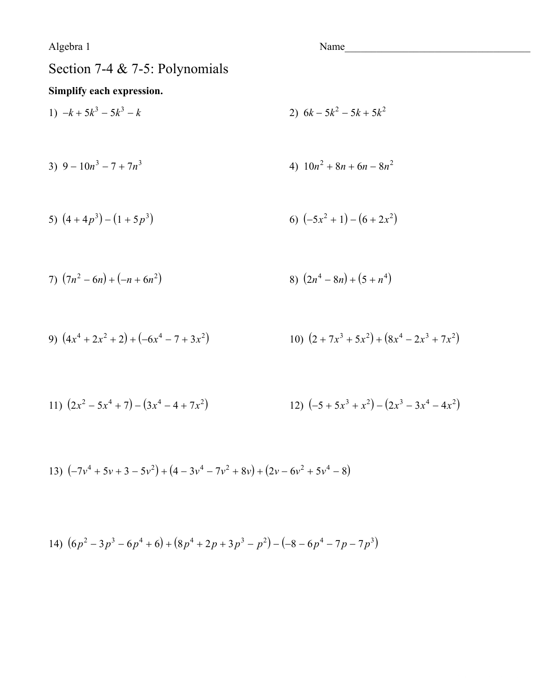Name and the state of the state of the state of the state of the state of the state of the state of the state of the state of the state of the state of the state of the state of the state of the state of the state of the s

# Section 7-4 & 7-5: Polynomials

### Simplify each expression.

1)  $-k + 5k^3 - 5k^3 - k$ 2)  $6k - 5k^2 - 5k + 5k^2$ 

3) 
$$
9 - 10n^3 - 7 + 7n^3
$$
  
4)  $10n^2 + 8n + 6n - 8n^2$ 

5) 
$$
(4+4p^3)-(1+5p^3)
$$
   
6)  $(-5x^2+1)-(6+2x^2)$ 

7) 
$$
(7n^2 - 6n) + (-n + 6n^2)
$$
  
8)  $(2n^4 - 8n) + (5 + n^4)$ 

9) 
$$
(4x^4 + 2x^2 + 2) + (-6x^4 - 7 + 3x^2)
$$
  
10)  $(2 + 7x^3 + 5x^2) + (8x^4 - 2x^3 + 7x^2)$ 

11) 
$$
(2x^2 - 5x^4 + 7) - (3x^4 - 4 + 7x^2)
$$
  
12)  $(-5 + 5x^3 + x^2) - (2x^3 - 3x^4 - 4x^2)$ 

13) 
$$
(-7v^4 + 5v + 3 - 5v^2) + (4 - 3v^4 - 7v^2 + 8v) + (2v - 6v^2 + 5v^4 - 8)
$$

14) 
$$
(6p^2 - 3p^3 - 6p^4 + 6) + (8p^4 + 2p + 3p^3 - p^2) - (-8 - 6p^4 - 7p - 7p^3)
$$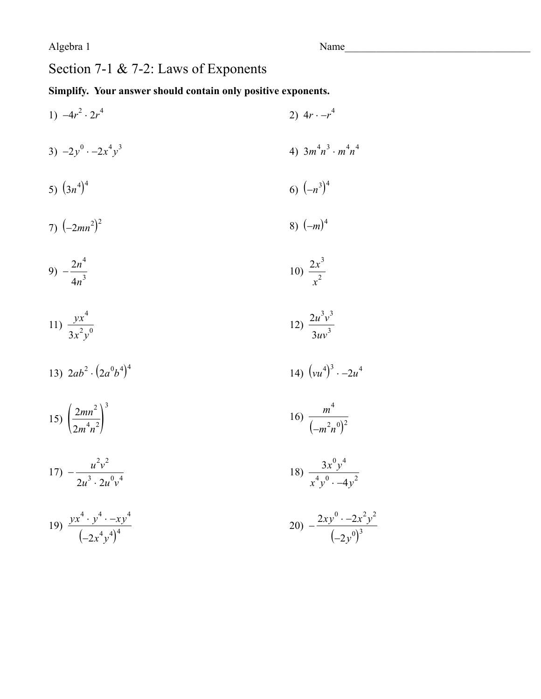# Section 7-1 & 7-2: Laws of Exponents

### Simplify. Your answer should contain only positive exponents.

- 1)  $-4r^2 \cdot 2r^4$ 2)  $4r - r^4$
- 3)  $-2y^0$   $-2x^4y^3$ 4)  $3m^4n^3 \cdot m^4n^4$
- 5)  $(3n^4)^4$ 6)  $(-n^3)^4$
- 8)  $(-m)^4$ 7)  $(-2mn^2)^2$

$$
9) - \frac{2n^4}{4n^3} \tag{10} \frac{2x^3}{x^2}
$$

$$
11) \frac{yx^4}{3x^2y^0} \qquad \qquad 12) \frac{2u^3v^3}{3uv^3}
$$

13) 
$$
2ab^2 \cdot (2a^0b^4)^4
$$
 14)  $(vu^4)^3 \cdot -2u^4$ 

15) 
$$
\left(\frac{2mn^2}{2m^4n^2}\right)^3
$$
 16)  $\frac{1}{2}$ 

$$
17) - \frac{u^2v^2}{2u^3 \cdot 2u^0v^4} \qquad \qquad 18) \frac{3x^0v^4}{x^4v^0 \cdot -4v^2}
$$

19) 
$$
\frac{yx^4 \cdot y^4 \cdot -xy^4}{(-2x^4y^4)^4}
$$

16) 
$$
\frac{m^4}{\left(-m^2n^0\right)^2}
$$

$$
20) -\frac{2xy^0 - 2x^2y^2}{(-2y^0)^3}
$$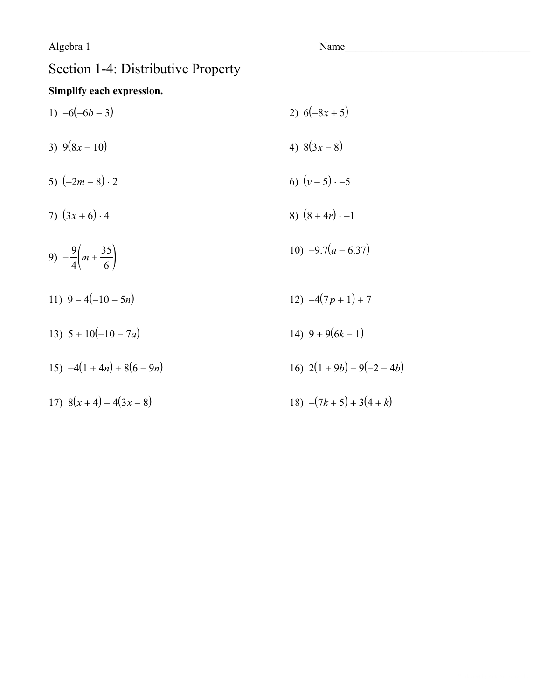$Name$   $\Box$ 

## Section 1-4: Distributive Property

#### **Simplify each expression.**

1)  $-6(-6b-3)$  2)  $6(-8x+5)$ 3)  $9(8x-10)$  4)  $8(3x-8)$ 5)  $(-2m-8) \cdot 2$  6)  $(v-5) \cdot -5$ 7)  $(3x+6)\cdot 4$  8)  $(8+4r)\cdot -1$ 9)  $-\frac{9}{4}\left(m+\frac{35}{6}\right)$  $\frac{9}{4}\left(m+\frac{35}{6}\right)$ 6 / 10)  $-9.7(a - 6.37)$ 11)  $9-4(-10-5n)$  12)  $-4(7p+1)+7$ 13)  $5 + 10(-10 - 7a)$  14)  $9 + 9(6k - 1)$ 15)  $-4(1+4n) + 8(6-9n)$  16)  $2(1+9b) - 9(-2-4b)$ 17)  $8(x+4) - 4(3x-8)$  18)  $-(7k+5) + 3(4+k)$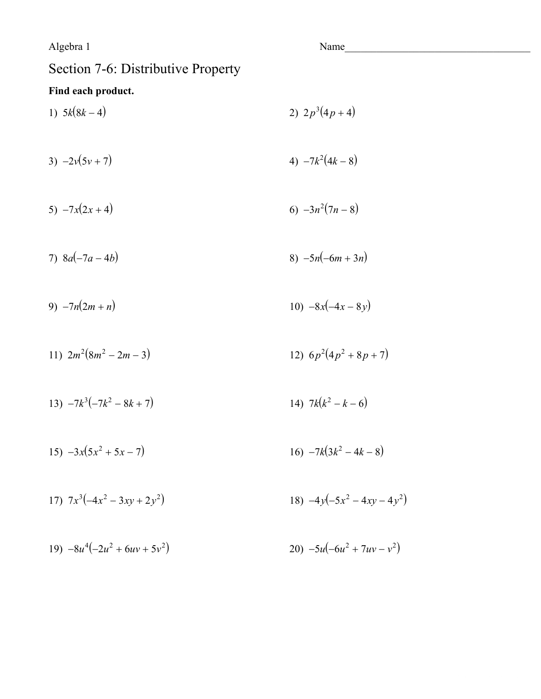Name

## Section 7-6: Distributive Property

#### Find each product.

- 1)  $5k(8k-4)$ 2)  $2p^3(4p+4)$ 4)  $-7k^2(4k-8)$ 3)  $-2v(5v+7)$ 5)  $-7x(2x+4)$ 6)  $-3n^2(7n-8)$ 8)  $-5n(-6m+3n)$ 7)  $8a(-7a-4b)$
- 10)  $-8x(-4x-8y)$ 9)  $-7n(2m+n)$
- 11)  $2m^2(8m^2-2m-3)$ 12)  $6p^2(4p^2+8p+7)$
- 13)  $-7k^3(-7k^2-8k+7)$ 14)  $7k(k^2 - k - 6)$
- 15)  $-3x(5x^2 + 5x 7)$ 16)  $-7k(3k^2 - 4k - 8)$
- 17)  $7x^3(-4x^2-3xy+2y^2)$ 18)  $-4y(-5x^2-4xy-4y^2)$
- 19)  $-8u^4(-2u^2 + 6uv + 5v^2)$ 20)  $-5u(-6u^2 + 7uv - v^2)$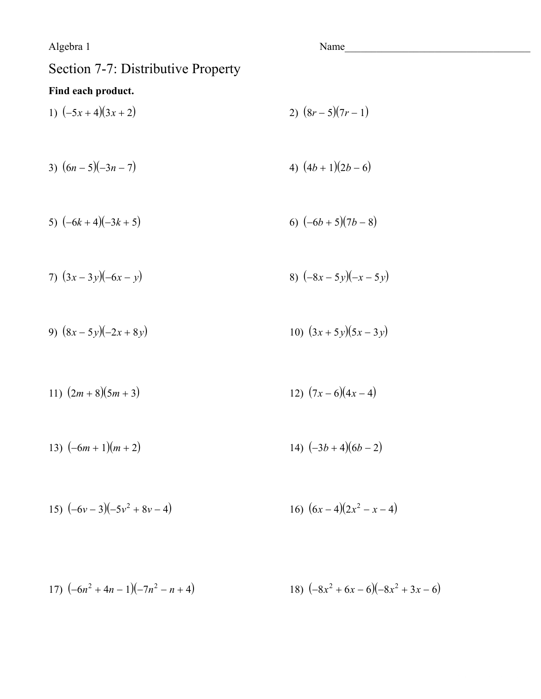Name

## Section 7-7: Distributive Property

#### Find each product.

- 1)  $(-5x+4)(3x+2)$ 2)  $(8r-5)(7r-1)$
- 3)  $(6n 5)(-3n 7)$ 4)  $(4b+1)(2b-6)$

5) 
$$
(-6k+4)(-3k+5)
$$
   
6)  $(-6b+5)(7b-8)$ 

7) 
$$
(3x-3y)(-6x-y)
$$
  
8)  $(-8x-5y)(-x-5y)$ 

- 9)  $(8x-5y)(-2x+8y)$ 10)  $(3x+5y)(5x-3y)$
- 12)  $(7x-6)(4x-4)$ 11)  $(2m+8)(5m+3)$
- 14)  $(-3b+4)(6b-2)$ 13)  $(-6m+1)(m+2)$
- 16)  $(6x-4)(2x^2-x-4)$ 15)  $(-6v-3)(-5v^2+8v-4)$
- 18)  $(-8x^2 + 6x 6)(-8x^2 + 3x 6)$ 17)  $(-6n^2 + 4n - 1)(-7n^2 - n + 4)$